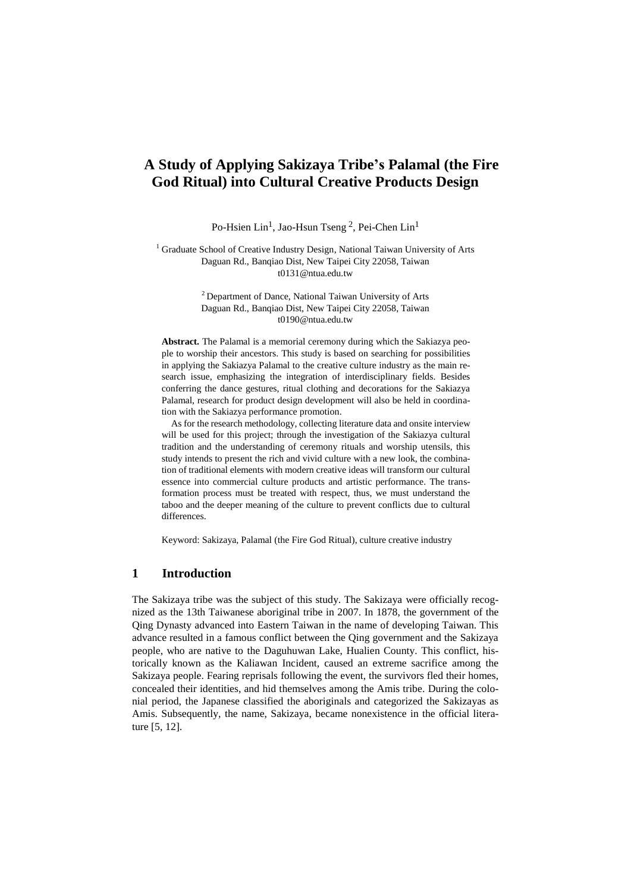# **A Study of Applying Sakizaya Tribe's Palamal (the Fire God Ritual) into Cultural Creative Products Design**

Po-Hsien Lin<sup>1</sup>, Jao-Hsun Tseng <sup>2</sup>, Pei-Chen Lin<sup>1</sup>

<sup>1</sup> Graduate School of Creative Industry Design, National Taiwan University of Arts Daguan Rd., Banqiao Dist, New Taipei City 22058, Taiwan t0131@ntua.edu.tw

> <sup>2</sup> Department of Dance, National Taiwan University of Arts Daguan Rd., Banqiao Dist, New Taipei City 22058, Taiwan t0190@ntua.edu.tw

**Abstract.** The Palamal is a memorial ceremony during which the Sakiazya people to worship their ancestors. This study is based on searching for possibilities in applying the Sakiazya Palamal to the creative culture industry as the main research issue, emphasizing the integration of interdisciplinary fields. Besides conferring the dance gestures, ritual clothing and decorations for the Sakiazya Palamal, research for product design development will also be held in coordination with the Sakiazya performance promotion.

As for the research methodology, collecting literature data and onsite interview will be used for this project; through the investigation of the Sakiazya cultural tradition and the understanding of ceremony rituals and worship utensils, this study intends to present the rich and vivid culture with a new look, the combination of traditional elements with modern creative ideas will transform our cultural essence into commercial culture products and artistic performance. The transformation process must be treated with respect, thus, we must understand the taboo and the deeper meaning of the culture to prevent conflicts due to cultural differences.

Keyword: Sakizaya, Palamal (the Fire God Ritual), culture creative industry

## **1 Introduction**

The Sakizaya tribe was the subject of this study. The Sakizaya were officially recognized as the 13th Taiwanese aboriginal tribe in 2007. In 1878, the government of the Qing Dynasty advanced into Eastern Taiwan in the name of developing Taiwan. This advance resulted in a famous conflict between the Qing government and the Sakizaya people, who are native to the Daguhuwan Lake, Hualien County. This conflict, historically known as the Kaliawan Incident, caused an extreme sacrifice among the Sakizaya people. Fearing reprisals following the event, the survivors fled their homes, concealed their identities, and hid themselves among the Amis tribe. During the colonial period, the Japanese classified the aboriginals and categorized the Sakizayas as Amis. Subsequently, the name, Sakizaya, became nonexistence in the official literature [5, 12].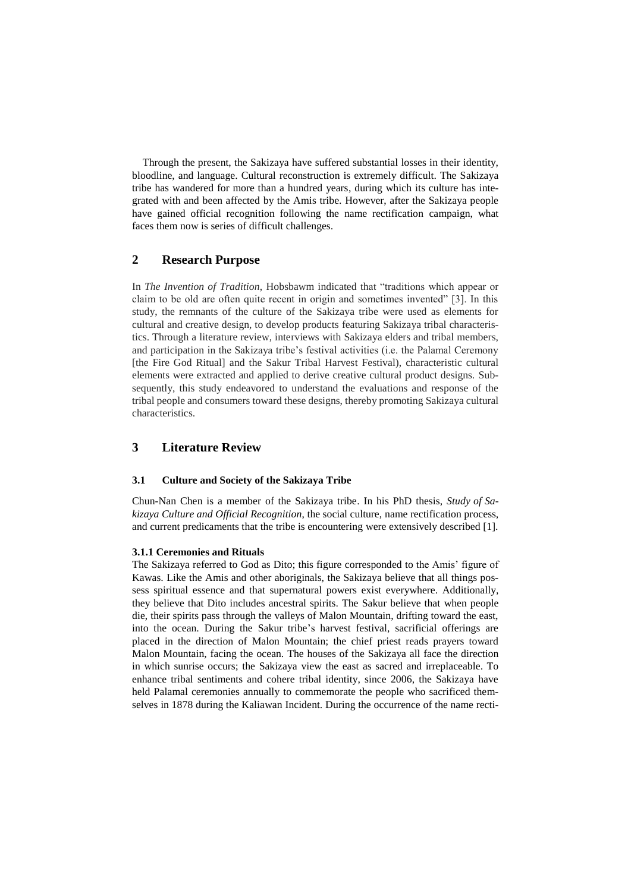Through the present, the Sakizaya have suffered substantial losses in their identity, bloodline, and language. Cultural reconstruction is extremely difficult. The Sakizaya tribe has wandered for more than a hundred years, during which its culture has integrated with and been affected by the Amis tribe. However, after the Sakizaya people have gained official recognition following the name rectification campaign, what faces them now is series of difficult challenges.

# **2 Research Purpose**

In *The Invention of Tradition*, Hobsbawm indicated that "traditions which appear or claim to be old are often quite recent in origin and sometimes invented" [3]. In this study, the remnants of the culture of the Sakizaya tribe were used as elements for cultural and creative design, to develop products featuring Sakizaya tribal characteristics. Through a literature review, interviews with Sakizaya elders and tribal members, and participation in the Sakizaya tribe's festival activities (i.e. the Palamal Ceremony [the Fire God Ritual] and the Sakur Tribal Harvest Festival), characteristic cultural elements were extracted and applied to derive creative cultural product designs. Subsequently, this study endeavored to understand the evaluations and response of the tribal people and consumers toward these designs, thereby promoting Sakizaya cultural characteristics.

# **3 Literature Review**

### **3.1 Culture and Society of the Sakizaya Tribe**

Chun-Nan Chen is a member of the Sakizaya tribe. In his PhD thesis, *Study of Sakizaya Culture and Official Recognition*, the social culture, name rectification process, and current predicaments that the tribe is encountering were extensively described [1].

### **3.1.1 Ceremonies and Rituals**

The Sakizaya referred to God as Dito; this figure corresponded to the Amis' figure of Kawas. Like the Amis and other aboriginals, the Sakizaya believe that all things possess spiritual essence and that supernatural powers exist everywhere. Additionally, they believe that Dito includes ancestral spirits. The Sakur believe that when people die, their spirits pass through the valleys of Malon Mountain, drifting toward the east, into the ocean. During the Sakur tribe's harvest festival, sacrificial offerings are placed in the direction of Malon Mountain; the chief priest reads prayers toward Malon Mountain, facing the ocean. The houses of the Sakizaya all face the direction in which sunrise occurs; the Sakizaya view the east as sacred and irreplaceable. To enhance tribal sentiments and cohere tribal identity, since 2006, the Sakizaya have held Palamal ceremonies annually to commemorate the people who sacrificed themselves in 1878 during the Kaliawan Incident. During the occurrence of the name recti-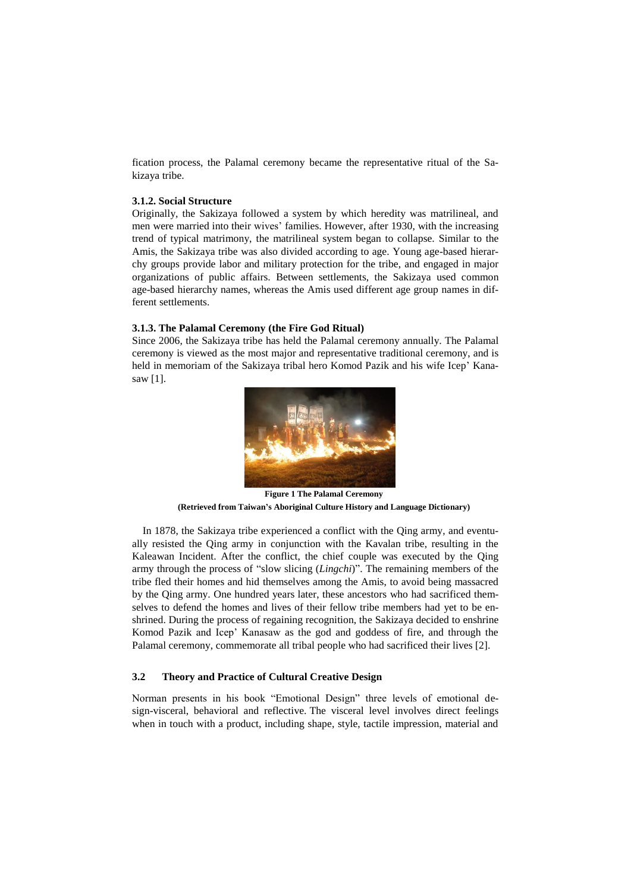fication process, the Palamal ceremony became the representative ritual of the Sakizaya tribe.

### **3.1.2. Social Structure**

Originally, the Sakizaya followed a system by which heredity was matrilineal, and men were married into their wives' families. However, after 1930, with the increasing trend of typical matrimony, the matrilineal system began to collapse. Similar to the Amis, the Sakizaya tribe was also divided according to age. Young age-based hierarchy groups provide labor and military protection for the tribe, and engaged in major organizations of public affairs. Between settlements, the Sakizaya used common age-based hierarchy names, whereas the Amis used different age group names in different settlements.

### **3.1.3. The Palamal Ceremony (the Fire God Ritual)**

Since 2006, the Sakizaya tribe has held the Palamal ceremony annually. The Palamal ceremony is viewed as the most major and representative traditional ceremony, and is held in memoriam of the Sakizaya tribal hero Komod Pazik and his wife Icep' Kanasaw [1].



**Figure 1 The Palamal Ceremony (Retrieved from Taiwan's Aboriginal Culture History and Language Dictionary)**

In 1878, the Sakizaya tribe experienced a conflict with the Qing army, and eventually resisted the Qing army in conjunction with the Kavalan tribe, resulting in the Kaleawan Incident. After the conflict, the chief couple was executed by the Qing army through the process of "slow slicing (*Lingchi*)". The remaining members of the tribe fled their homes and hid themselves among the Amis, to avoid being massacred by the Qing army. One hundred years later, these ancestors who had sacrificed themselves to defend the homes and lives of their fellow tribe members had yet to be enshrined. During the process of regaining recognition, the Sakizaya decided to enshrine Komod Pazik and Icep' Kanasaw as the god and goddess of fire, and through the Palamal ceremony, commemorate all tribal people who had sacrificed their lives [2].

## **3.2 Theory and Practice of Cultural Creative Design**

Norman presents in his book "Emotional Design" three levels of emotional design-visceral, behavioral and reflective. The visceral level involves direct feelings when in touch with a product, including shape, style, tactile impression, material and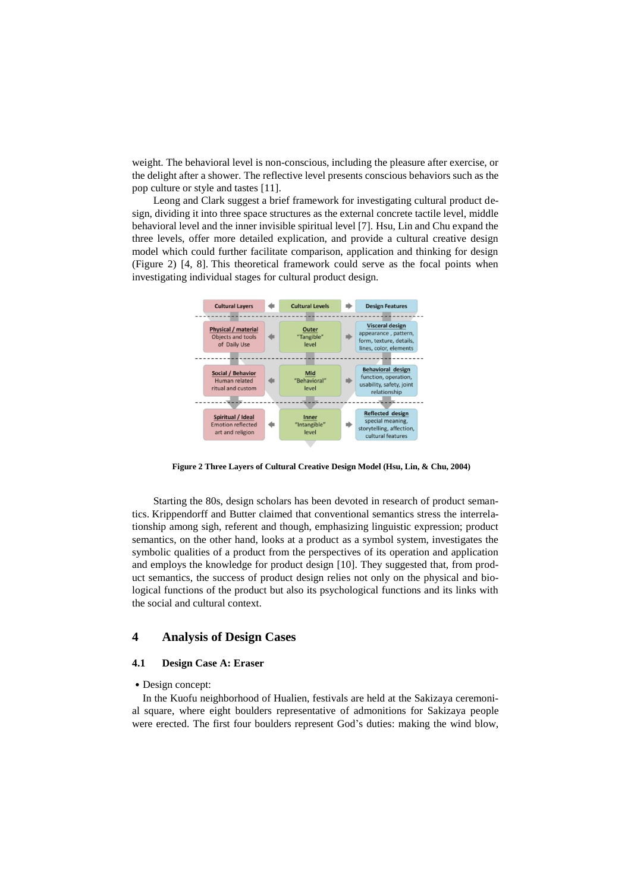weight. The behavioral level is non-conscious, including the pleasure after exercise, or the delight after a shower. The reflective level presents conscious behaviors such as the pop culture or style and tastes [11].

Leong and Clark suggest a brief framework for investigating cultural product design, dividing it into three space structures as the external concrete tactile level, middle behavioral level and the inner invisible spiritual level [7]. Hsu, Lin and Chu expand the three levels, offer more detailed explication, and provide a cultural creative design model which could further facilitate comparison, application and thinking for design (Figure 2) [4, 8]. This theoretical framework could serve as the focal points when investigating individual stages for cultural product design.



**Figure 2 Three Layers of Cultural Creative Design Model (Hsu, Lin, & Chu, 2004)**

Starting the 80s, design scholars has been devoted in research of product semantics. Krippendorff and Butter claimed that conventional semantics stress the interrelationship among sigh, referent and though, emphasizing linguistic expression; product semantics, on the other hand, looks at a product as a symbol system, investigates the symbolic qualities of a product from the perspectives of its operation and application and employs the knowledge for product design [10]. They suggested that, from product semantics, the success of product design relies not only on the physical and biological functions of the product but also its psychological functions and its links with the social and cultural context.

## **4 Analysis of Design Cases**

### **4.1 Design Case A: Eraser**

#### ˙Design concept:

In the Kuofu neighborhood of Hualien, festivals are held at the Sakizaya ceremonial square, where eight boulders representative of admonitions for Sakizaya people were erected. The first four boulders represent God's duties: making the wind blow,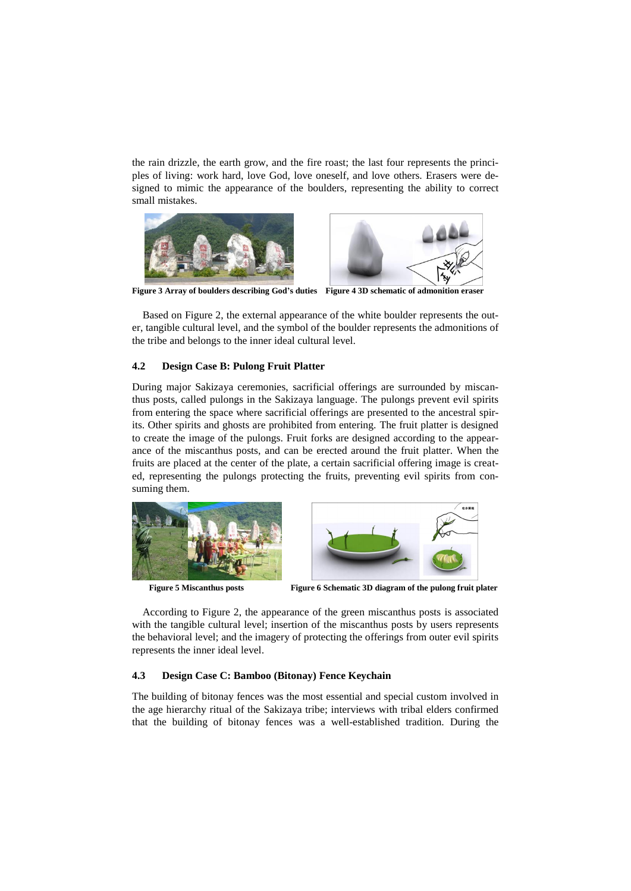the rain drizzle, the earth grow, and the fire roast; the last four represents the principles of living: work hard, love God, love oneself, and love others. Erasers were designed to mimic the appearance of the boulders, representing the ability to correct small mistakes.





**Figure 3 Array of boulders describing God's duties Figure 4 3D schematic of admonition eraser**

Based on Figure 2, the external appearance of the white boulder represents the outer, tangible cultural level, and the symbol of the boulder represents the admonitions of the tribe and belongs to the inner ideal cultural level.

## **4.2 Design Case B: Pulong Fruit Platter**

During major Sakizaya ceremonies, sacrificial offerings are surrounded by miscanthus posts, called pulongs in the Sakizaya language. The pulongs prevent evil spirits from entering the space where sacrificial offerings are presented to the ancestral spirits. Other spirits and ghosts are prohibited from entering. The fruit platter is designed to create the image of the pulongs. Fruit forks are designed according to the appearance of the miscanthus posts, and can be erected around the fruit platter. When the fruits are placed at the center of the plate, a certain sacrificial offering image is created, representing the pulongs protecting the fruits, preventing evil spirits from consuming them.





**Figure 5 Miscanthus posts Figure 6 Schematic 3D diagram of the pulong fruit plater**

According to Figure 2, the appearance of the green miscanthus posts is associated with the tangible cultural level; insertion of the miscanthus posts by users represents the behavioral level; and the imagery of protecting the offerings from outer evil spirits represents the inner ideal level.

## **4.3 Design Case C: Bamboo (Bitonay) Fence Keychain**

The building of bitonay fences was the most essential and special custom involved in the age hierarchy ritual of the Sakizaya tribe; interviews with tribal elders confirmed that the building of bitonay fences was a well-established tradition. During the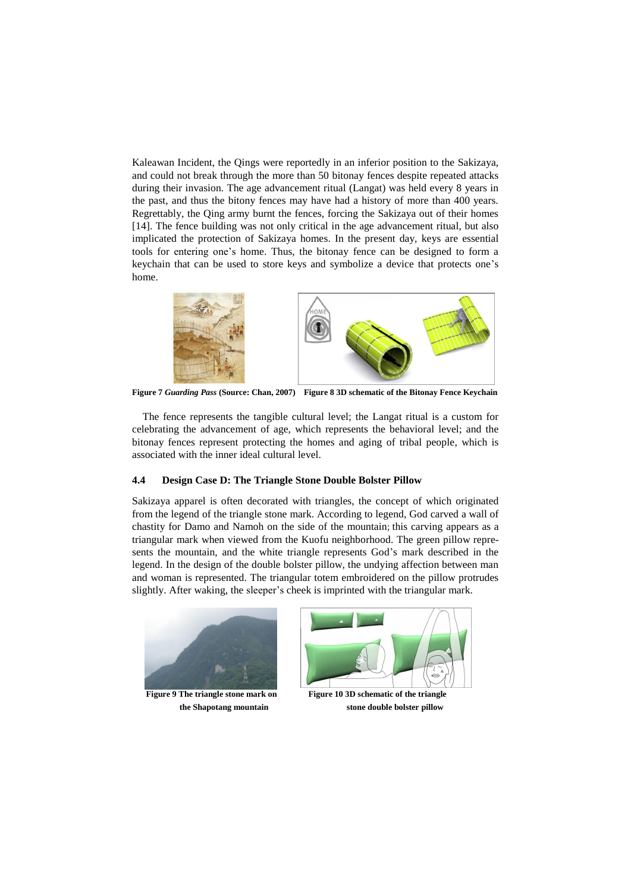Kaleawan Incident, the Qings were reportedly in an inferior position to the Sakizaya, and could not break through the more than 50 bitonay fences despite repeated attacks during their invasion. The age advancement ritual (Langat) was held every 8 years in the past, and thus the bitony fences may have had a history of more than 400 years. Regrettably, the Qing army burnt the fences, forcing the Sakizaya out of their homes [14]. The fence building was not only critical in the age advancement ritual, but also implicated the protection of Sakizaya homes. In the present day, keys are essential tools for entering one's home. Thus, the bitonay fence can be designed to form a keychain that can be used to store keys and symbolize a device that protects one's home.



**Figure 7** *Guarding Pass* **(Source: Chan, 2007) Figure 8 3D schematic of the Bitonay Fence Keychain**

The fence represents the tangible cultural level; the Langat ritual is a custom for celebrating the advancement of age, which represents the behavioral level; and the bitonay fences represent protecting the homes and aging of tribal people, which is associated with the inner ideal cultural level.

## **4.4 Design Case D: The Triangle Stone Double Bolster Pillow**

Sakizaya apparel is often decorated with triangles, the concept of which originated from the legend of the triangle stone mark. According to legend, God carved a wall of chastity for Damo and Namoh on the side of the mountain; this carving appears as a triangular mark when viewed from the Kuofu neighborhood. The green pillow represents the mountain, and the white triangle represents God's mark described in the legend. In the design of the double bolster pillow, the undying affection between man and woman is represented. The triangular totem embroidered on the pillow protrudes slightly. After waking, the sleeper's cheek is imprinted with the triangular mark.



**Figure 9 The triangle stone mark on the Shapotang mountain**



**Figure 10 3D schematic of the triangle stone double bolster pillow**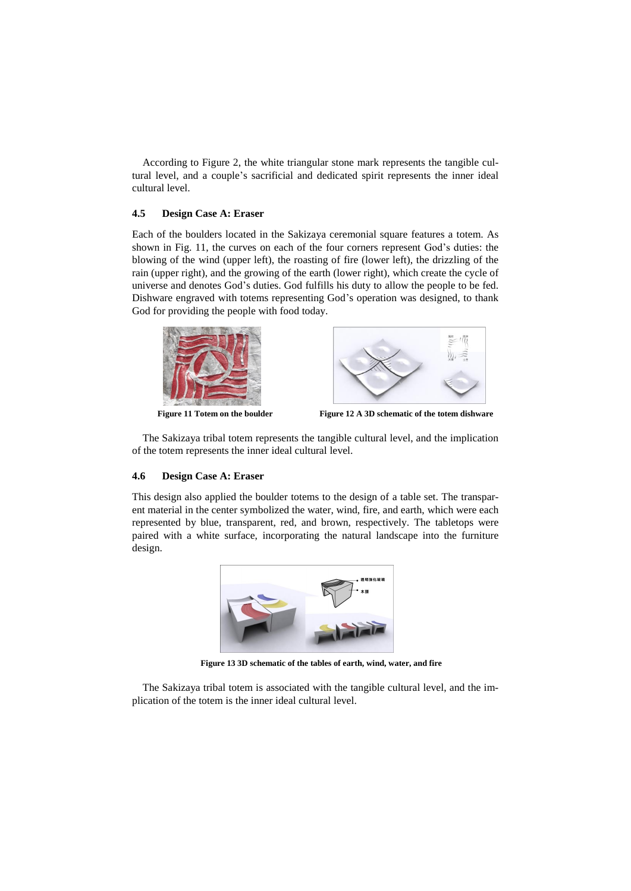According to Figure 2, the white triangular stone mark represents the tangible cultural level, and a couple's sacrificial and dedicated spirit represents the inner ideal cultural level.

### **4.5 Design Case A: Eraser**

Each of the boulders located in the Sakizaya ceremonial square features a totem. As shown in Fig. 11, the curves on each of the four corners represent God's duties: the blowing of the wind (upper left), the roasting of fire (lower left), the drizzling of the rain (upper right), and the growing of the earth (lower right), which create the cycle of universe and denotes God's duties. God fulfills his duty to allow the people to be fed. Dishware engraved with totems representing God's operation was designed, to thank God for providing the people with food today.





**Figure** 11 Totem on the boulder Figure 12 A 3D schematic of the totem dishware

The Sakizaya tribal totem represents the tangible cultural level, and the implication of the totem represents the inner ideal cultural level.

### **4.6 Design Case A: Eraser**

This design also applied the boulder totems to the design of a table set. The transparent material in the center symbolized the water, wind, fire, and earth, which were each represented by blue, transparent, red, and brown, respectively. The tabletops were paired with a white surface, incorporating the natural landscape into the furniture design.



**Figure 13 3D schematic of the tables of earth, wind, water, and fire**

The Sakizaya tribal totem is associated with the tangible cultural level, and the implication of the totem is the inner ideal cultural level.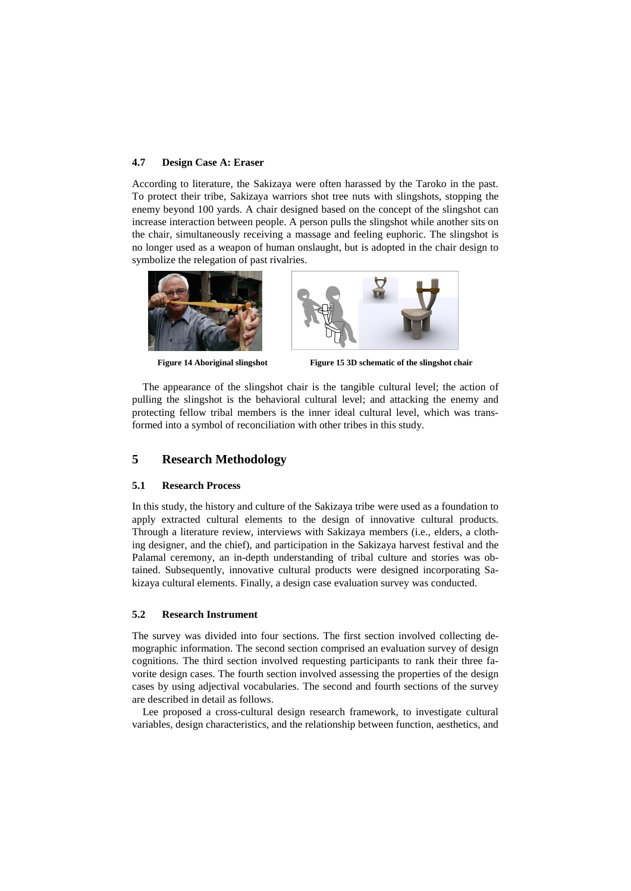## **4.7 Design Case A: Eraser**

According to literature, the Sakizaya were often harassed by the Taroko in the past. To protect their tribe, Sakizaya warriors shot tree nuts with slingshots, stopping the enemy beyond 100 yards. A chair designed based on the concept of the slingshot can increase interaction between people. A person pulls the slingshot while another sits on the chair, simultaneously receiving a massage and feeling euphoric. The slingshot is no longer used as a weapon of human onslaught, but is adopted in the chair design to symbolize the relegation of past rivalries.





**Figure 14 Aboriginal slingshot Figure 15 3D schematic of the slingshot chair**

The appearance of the slingshot chair is the tangible cultural level; the action of pulling the slingshot is the behavioral cultural level; and attacking the enemy and protecting fellow tribal members is the inner ideal cultural level, which was transformed into a symbol of reconciliation with other tribes in this study.

## **5 Research Methodology**

### **5.1 Research Process**

In this study, the history and culture of the Sakizaya tribe were used as a foundation to apply extracted cultural elements to the design of innovative cultural products. Through a literature review, interviews with Sakizaya members (i.e., elders, a clothing designer, and the chief), and participation in the Sakizaya harvest festival and the Palamal ceremony, an in-depth understanding of tribal culture and stories was obtained. Subsequently, innovative cultural products were designed incorporating Sakizaya cultural elements. Finally, a design case evaluation survey was conducted.

### **5.2 Research Instrument**

The survey was divided into four sections. The first section involved collecting demographic information. The second section comprised an evaluation survey of design cognitions. The third section involved requesting participants to rank their three favorite design cases. The fourth section involved assessing the properties of the design cases by using adjectival vocabularies. The second and fourth sections of the survey are described in detail as follows.

Lee proposed a cross-cultural design research framework, to investigate cultural variables, design characteristics, and the relationship between function, aesthetics, and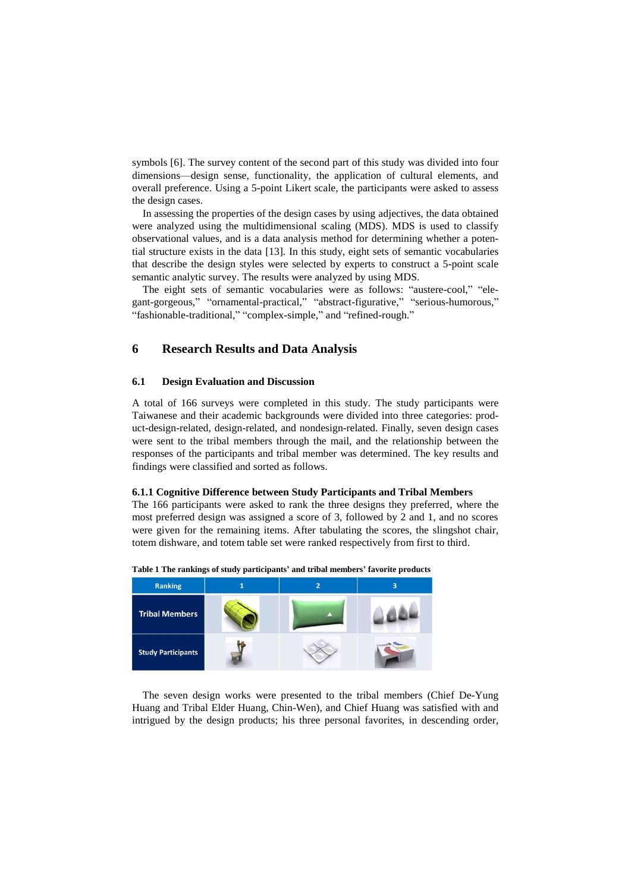symbols [6]. The survey content of the second part of this study was divided into four dimensions—design sense, functionality, the application of cultural elements, and overall preference. Using a 5-point Likert scale, the participants were asked to assess the design cases.

In assessing the properties of the design cases by using adjectives, the data obtained were analyzed using the multidimensional scaling (MDS). MDS is used to classify observational values, and is a data analysis method for determining whether a potential structure exists in the data [13]. In this study, eight sets of semantic vocabularies that describe the design styles were selected by experts to construct a 5-point scale semantic analytic survey. The results were analyzed by using MDS.

The eight sets of semantic vocabularies were as follows: "austere-cool," "elegant-gorgeous," "ornamental-practical," "abstract-figurative," "serious-humorous," "fashionable-traditional," "complex-simple," and "refined-rough."

## **6 Research Results and Data Analysis**

### **6.1 Design Evaluation and Discussion**

A total of 166 surveys were completed in this study. The study participants were Taiwanese and their academic backgrounds were divided into three categories: product-design-related, design-related, and nondesign-related. Finally, seven design cases were sent to the tribal members through the mail, and the relationship between the responses of the participants and tribal member was determined. The key results and findings were classified and sorted as follows.

#### **6.1.1 Cognitive Difference between Study Participants and Tribal Members**

The 166 participants were asked to rank the three designs they preferred, where the most preferred design was assigned a score of 3, followed by 2 and 1, and no scores were given for the remaining items. After tabulating the scores, the slingshot chair, totem dishware, and totem table set were ranked respectively from first to third.



**Table 1 The rankings of study participants' and tribal members' favorite products**

The seven design works were presented to the tribal members (Chief De-Yung Huang and Tribal Elder Huang, Chin-Wen), and Chief Huang was satisfied with and intrigued by the design products; his three personal favorites, in descending order,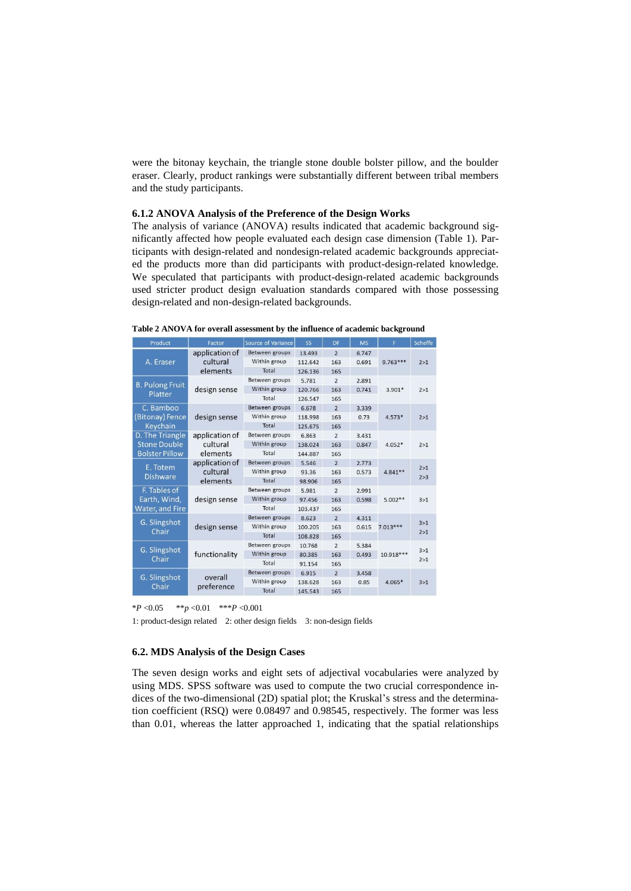were the bitonay keychain, the triangle stone double bolster pillow, and the boulder eraser. Clearly, product rankings were substantially different between tribal members and the study participants.

### **6.1.2 ANOVA Analysis of the Preference of the Design Works**

The analysis of variance (ANOVA) results indicated that academic background significantly affected how people evaluated each design case dimension (Table 1). Participants with design-related and nondesign-related academic backgrounds appreciated the products more than did participants with product-design-related knowledge. We speculated that participants with product-design-related academic backgrounds used stricter product design evaluation standards compared with those possessing design-related and non-design-related backgrounds.

| Product                                                | Factor                                 | Source of Variance    | SS.     | DF             | <b>MS</b> | F          | Scheffe        |
|--------------------------------------------------------|----------------------------------------|-----------------------|---------|----------------|-----------|------------|----------------|
| A. Eraser                                              | application of                         | <b>Between groups</b> | 13.493  | $\overline{2}$ | 6.747     | $9.763***$ | 2 > 1          |
|                                                        | cultural                               | Within group          | 112.642 | 163            | 0.691     |            |                |
|                                                        | elements                               | Total                 | 126,136 | 165            |           |            |                |
| <b>B. Pulong Fruit</b><br>Platter                      | design sense                           | Between groups        | 5.781   | $\overline{2}$ | 2.891     | $3.901*$   |                |
|                                                        |                                        | Within group          | 120,766 | 163            | 0.741     |            | 2 > 1          |
|                                                        |                                        | Total                 | 126,547 | 165            |           |            |                |
| C. Bamboo                                              | design sense                           | <b>Between groups</b> | 6.678   | $\overline{2}$ | 3.339     | $4.573*$   | 2 > 1          |
| (Bitonay) Fence                                        |                                        | Within group          | 118.998 | 163            | 0.73      |            |                |
| Keychain                                               |                                        | Total                 | 125.675 | 165            |           |            |                |
| D. The Triangle                                        | application of<br>cultural<br>elements | Between groups        | 6.863   | $\overline{2}$ | 3.431     | $4.052*$   | 2 > 1          |
| <b>Stone Double</b>                                    |                                        | Within group          | 138.024 | 163            | 0.847     |            |                |
| <b>Bolster Pillow</b>                                  |                                        | Total                 | 144.887 | 165            |           |            |                |
| E. Totem<br><b>Dishware</b>                            | application of<br>cultural             | <b>Between groups</b> | 5.546   | $\overline{2}$ | 2.773     | 4.841**    | 2 > 1<br>2 > 3 |
|                                                        |                                        | Within group          | 93.36   | 163            | 0.573     |            |                |
|                                                        | elements                               | Total                 | 98.906  | 165            |           |            |                |
| F. Tables of<br>Earth, Wind,<br><b>Water, and Fire</b> | design sense                           | Between groups        | 5.981   | $\overline{2}$ | 2.991     | $5.002**$  | 3 > 1          |
|                                                        |                                        | Within group          | 97.456  | 163            | 0.598     |            |                |
|                                                        |                                        | Total                 | 103.437 | 165            |           |            |                |
| G. Slingshot<br>Chair                                  | design sense                           | Between groups        | 8.623   | $\overline{2}$ | 4.311     | 7.013***   | 3 > 1          |
|                                                        |                                        | Within group          | 100.205 | 163            | 0.615     |            | 2 > 1          |
|                                                        |                                        | Total                 | 108.828 | 165            |           |            |                |
| G. Slingshot<br>Chair                                  | functionality                          | Between groups        | 10.768  | $\overline{2}$ | 5.384     | 10.918 *** | 3 > 1          |
|                                                        |                                        | Within group          | 80.385  | 163            | 0.493     |            | 2 > 1          |
|                                                        |                                        | Total                 | 91.154  | 165            |           |            |                |
| G. Slingshot<br>Chair                                  | overall<br>preference                  | <b>Between groups</b> | 6.915   | $\overline{2}$ | 3.458     | $4.065*$   | 3 > 1          |
|                                                        |                                        | Within group          | 138.628 | 163            | 0.85      |            |                |
|                                                        |                                        | Total                 | 145.543 | 165            |           |            |                |

**Table 2 ANOVA for overall assessment by the influence of academic background**

\**P* <0.05 \*\**p* <0.01 \*\*\**P* <0.001

1: product-design related 2: other design fields 3: non-design fields

### **6.2. MDS Analysis of the Design Cases**

The seven design works and eight sets of adjectival vocabularies were analyzed by using MDS. SPSS software was used to compute the two crucial correspondence indices of the two-dimensional (2D) spatial plot; the Kruskal's stress and the determination coefficient (RSQ) were 0.08497 and 0.98545, respectively. The former was less than 0.01, whereas the latter approached 1, indicating that the spatial relationships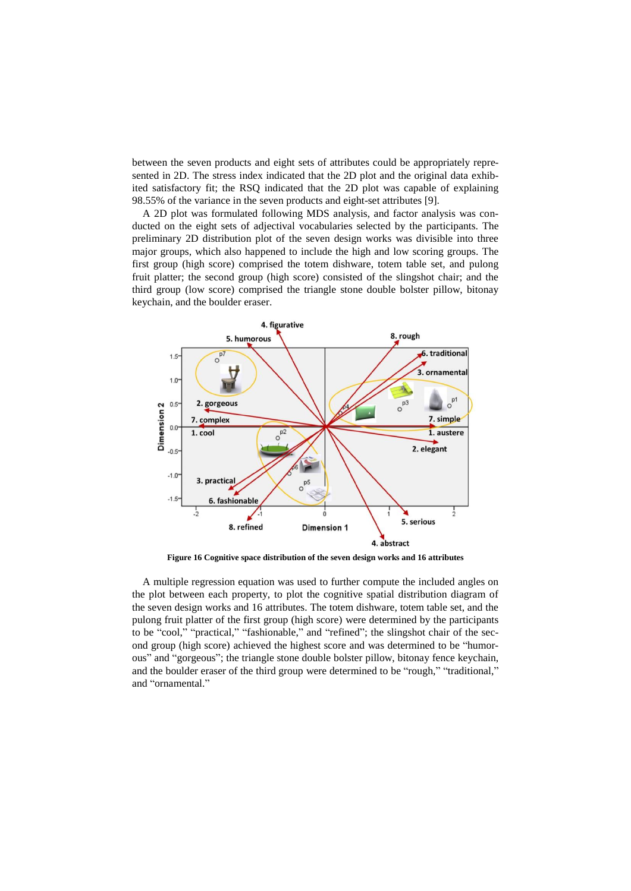between the seven products and eight sets of attributes could be appropriately represented in 2D. The stress index indicated that the 2D plot and the original data exhibited satisfactory fit; the RSQ indicated that the 2D plot was capable of explaining 98.55% of the variance in the seven products and eight-set attributes [9].

A 2D plot was formulated following MDS analysis, and factor analysis was conducted on the eight sets of adjectival vocabularies selected by the participants. The preliminary 2D distribution plot of the seven design works was divisible into three major groups, which also happened to include the high and low scoring groups. The first group (high score) comprised the totem dishware, totem table set, and pulong fruit platter; the second group (high score) consisted of the slingshot chair; and the third group (low score) comprised the triangle stone double bolster pillow, bitonay keychain, and the boulder eraser.



**Figure 16 Cognitive space distribution of the seven design works and 16 attributes**

A multiple regression equation was used to further compute the included angles on the plot between each property, to plot the cognitive spatial distribution diagram of the seven design works and 16 attributes. The totem dishware, totem table set, and the pulong fruit platter of the first group (high score) were determined by the participants to be "cool," "practical," "fashionable," and "refined"; the slingshot chair of the second group (high score) achieved the highest score and was determined to be "humorous" and "gorgeous"; the triangle stone double bolster pillow, bitonay fence keychain, and the boulder eraser of the third group were determined to be "rough," "traditional," and "ornamental."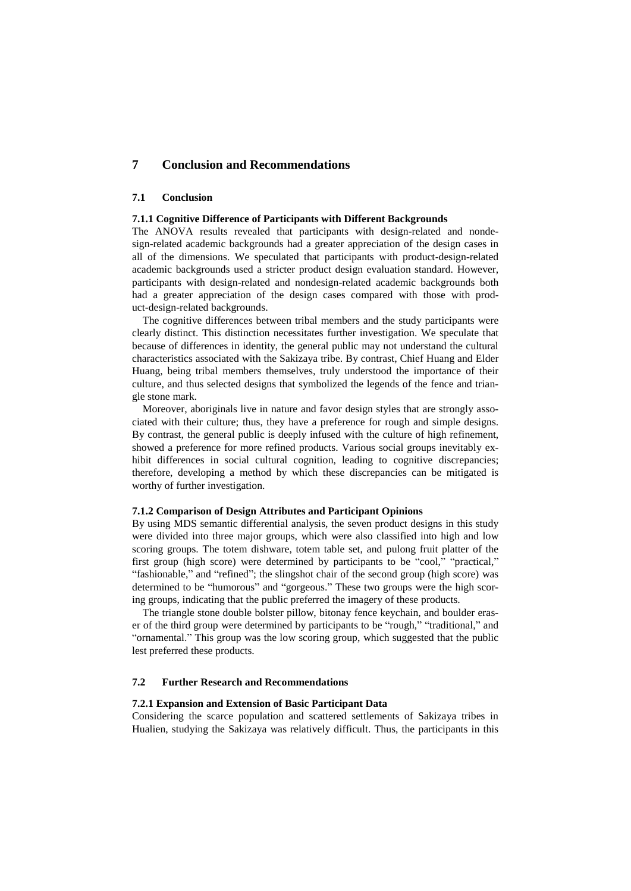# **7 Conclusion and Recommendations**

## **7.1 Conclusion**

### **7.1.1 Cognitive Difference of Participants with Different Backgrounds**

The ANOVA results revealed that participants with design-related and nondesign-related academic backgrounds had a greater appreciation of the design cases in all of the dimensions. We speculated that participants with product-design-related academic backgrounds used a stricter product design evaluation standard. However, participants with design-related and nondesign-related academic backgrounds both had a greater appreciation of the design cases compared with those with product-design-related backgrounds.

The cognitive differences between tribal members and the study participants were clearly distinct. This distinction necessitates further investigation. We speculate that because of differences in identity, the general public may not understand the cultural characteristics associated with the Sakizaya tribe. By contrast, Chief Huang and Elder Huang, being tribal members themselves, truly understood the importance of their culture, and thus selected designs that symbolized the legends of the fence and triangle stone mark.

Moreover, aboriginals live in nature and favor design styles that are strongly associated with their culture; thus, they have a preference for rough and simple designs. By contrast, the general public is deeply infused with the culture of high refinement, showed a preference for more refined products. Various social groups inevitably exhibit differences in social cultural cognition, leading to cognitive discrepancies; therefore, developing a method by which these discrepancies can be mitigated is worthy of further investigation.

#### **7.1.2 Comparison of Design Attributes and Participant Opinions**

By using MDS semantic differential analysis, the seven product designs in this study were divided into three major groups, which were also classified into high and low scoring groups. The totem dishware, totem table set, and pulong fruit platter of the first group (high score) were determined by participants to be "cool," "practical," "fashionable," and "refined"; the slingshot chair of the second group (high score) was determined to be "humorous" and "gorgeous." These two groups were the high scoring groups, indicating that the public preferred the imagery of these products.

The triangle stone double bolster pillow, bitonay fence keychain, and boulder eraser of the third group were determined by participants to be "rough," "traditional," and "ornamental." This group was the low scoring group, which suggested that the public lest preferred these products.

## **7.2 Further Research and Recommendations**

### **7.2.1 Expansion and Extension of Basic Participant Data**

Considering the scarce population and scattered settlements of Sakizaya tribes in Hualien, studying the Sakizaya was relatively difficult. Thus, the participants in this